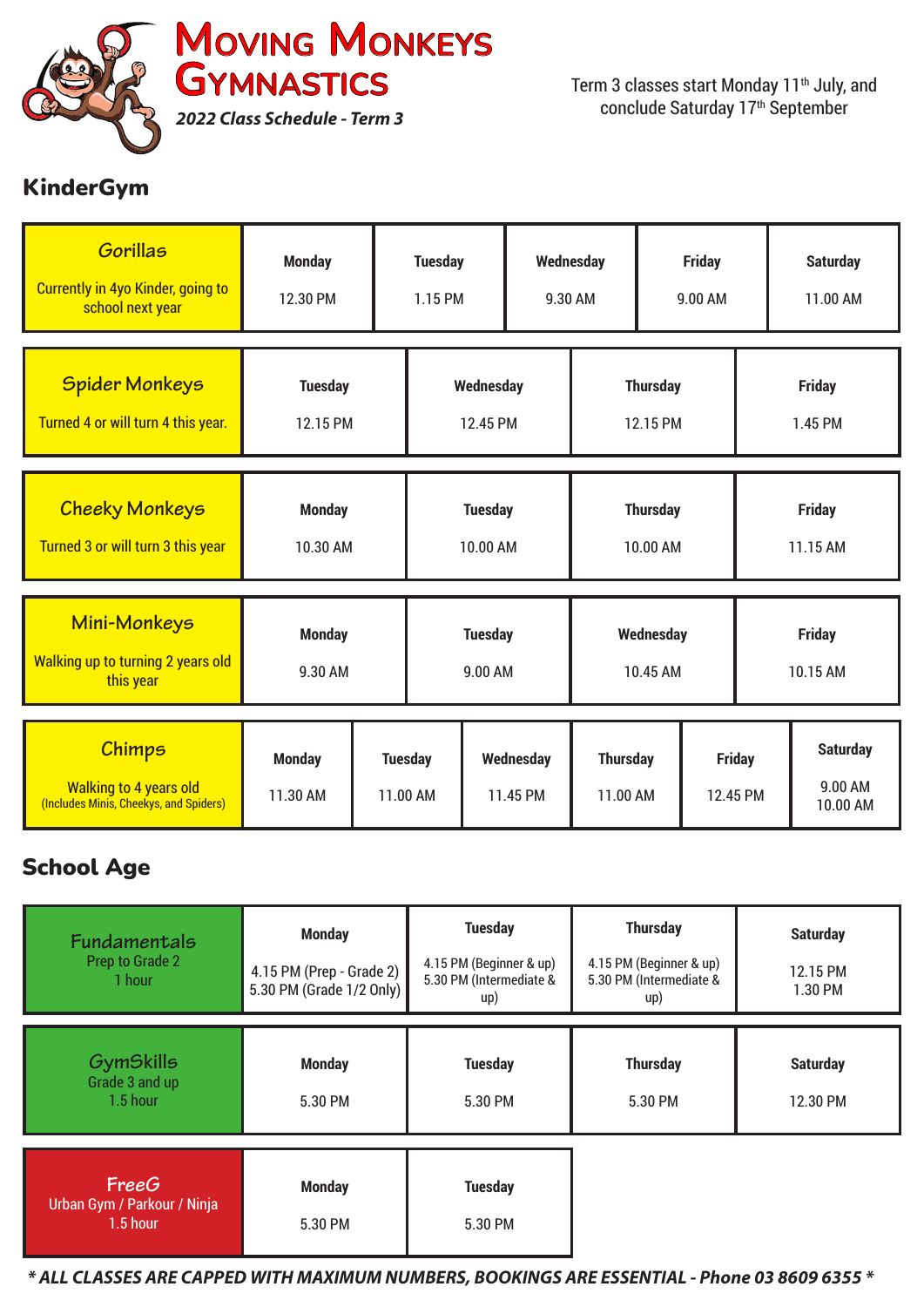

## KinderGym

| <b>Gorillas</b><br><b>Currently in 4yo Kinder, going to</b><br>school next year          | <b>Monday</b><br>12.30 PM  |                            | <b>Tuesday</b><br>1.15 PM  |                       | Wednesday<br>9.30 AM        |  | <b>Friday</b><br>9.00 AM  |                           | <b>Saturday</b><br>11.00 AM            |
|------------------------------------------------------------------------------------------|----------------------------|----------------------------|----------------------------|-----------------------|-----------------------------|--|---------------------------|---------------------------|----------------------------------------|
| <b>Spider Monkeys</b><br>Turned 4 or will turn 4 this year.                              | <b>Tuesday</b><br>12.15 PM |                            | Wednesday<br>12.45 PM      |                       | <b>Thursday</b><br>12.15 PM |  | <b>Friday</b><br>1.45 PM  |                           |                                        |
| <b>Cheeky Monkeys</b><br>Turned 3 or will turn 3 this year                               | <b>Monday</b><br>10.30 AM  |                            | <b>Tuesday</b><br>10.00 AM |                       | <b>Thursday</b><br>10.00 AM |  | <b>Friday</b><br>11.15 AM |                           |                                        |
| Mini-Monkeys<br><b>Walking up to turning 2 years old</b><br>this year                    | <b>Monday</b><br>9.30 AM   | <b>Tuesday</b><br>9.00 AM  |                            |                       | Wednesday<br>10.45 AM       |  | <b>Friday</b><br>10.15 AM |                           |                                        |
| <b>Chimps</b><br><b>Walking to 4 years old</b><br>(Includes Minis, Cheekys, and Spiders) | <b>Monday</b><br>11.30 AM  | <b>Tuesday</b><br>11.00 AM |                            | Wednesday<br>11.45 PM | <b>Thursday</b><br>11.00 AM |  |                           | <b>Friday</b><br>12.45 PM | <b>Saturday</b><br>9.00 AM<br>10.00 AM |

## School Age

| <b>Fundamentals</b><br><b>Prep to Grade 2</b><br>1 hour | <b>Monday</b><br>4.15 PM (Prep - Grade 2)<br>5.30 PM (Grade 1/2 Only) | <b>Tuesday</b><br>4.15 PM (Beginner & up)<br>5.30 PM (Intermediate &<br>up) | <b>Thursday</b><br>4.15 PM (Beginner & up)<br>5.30 PM (Intermediate &<br>up) | <b>Saturday</b><br>12.15 PM<br>1.30 PM |
|---------------------------------------------------------|-----------------------------------------------------------------------|-----------------------------------------------------------------------------|------------------------------------------------------------------------------|----------------------------------------|
| <b>GymSkills</b><br>Grade 3 and up<br>1.5 hour          | <b>Monday</b><br>5.30 PM                                              | <b>Tuesday</b><br>5.30 PM                                                   | <b>Thursday</b><br>5.30 PM                                                   | <b>Saturday</b><br>12.30 PM            |
| FreeG<br>Urban Gym / Parkour / Ninja<br>1.5 hour        | <b>Monday</b><br>5.30 PM                                              | <b>Tuesday</b><br>5.30 PM                                                   |                                                                              |                                        |

*\* ALL CLASSES ARE CAPPED WITH MAXIMUM NUMBERS, BOOKINGS ARE ESSENTIAL - Phone 03 8609 6355 \**